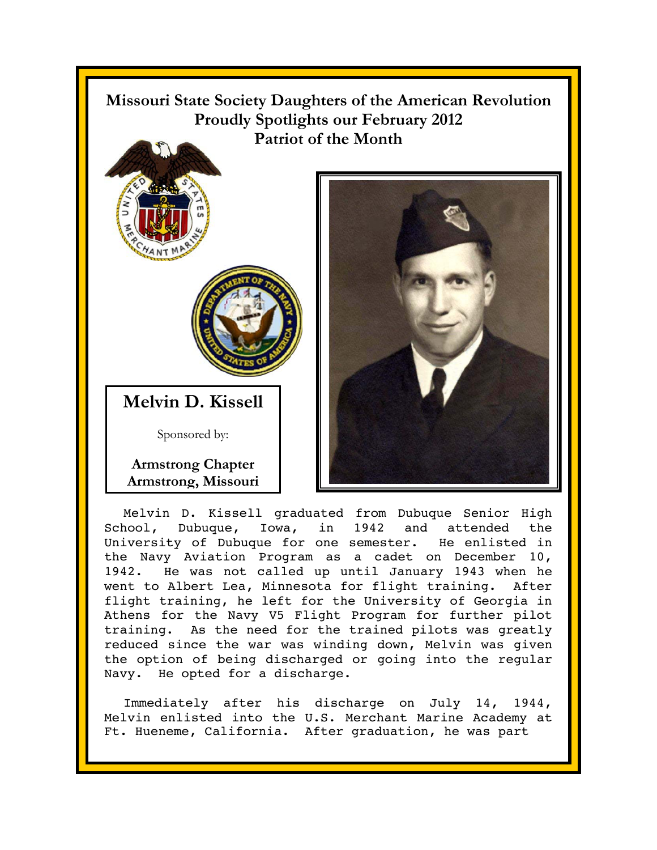

University of Dubuque for one semester. He enlisted in the Navy Aviation Program as a cadet on December 10, 1942. He was not called up until January 1943 when he went to Albert Lea, Minnesota for flight training. After flight training, he left for the University of Georgia in Athens for the Navy V5 Flight Program for further pilot training. As the need for the trained pilots was greatly reduced since the war was winding down, Melvin was given the option of being discharged or going into the regular Navy. He opted for a discharge.

Immediately after his discharge on July 14, 1944, Melvin enlisted into the U.S. Merchant Marine Academy at Ft. Hueneme, California. After graduation, he was part